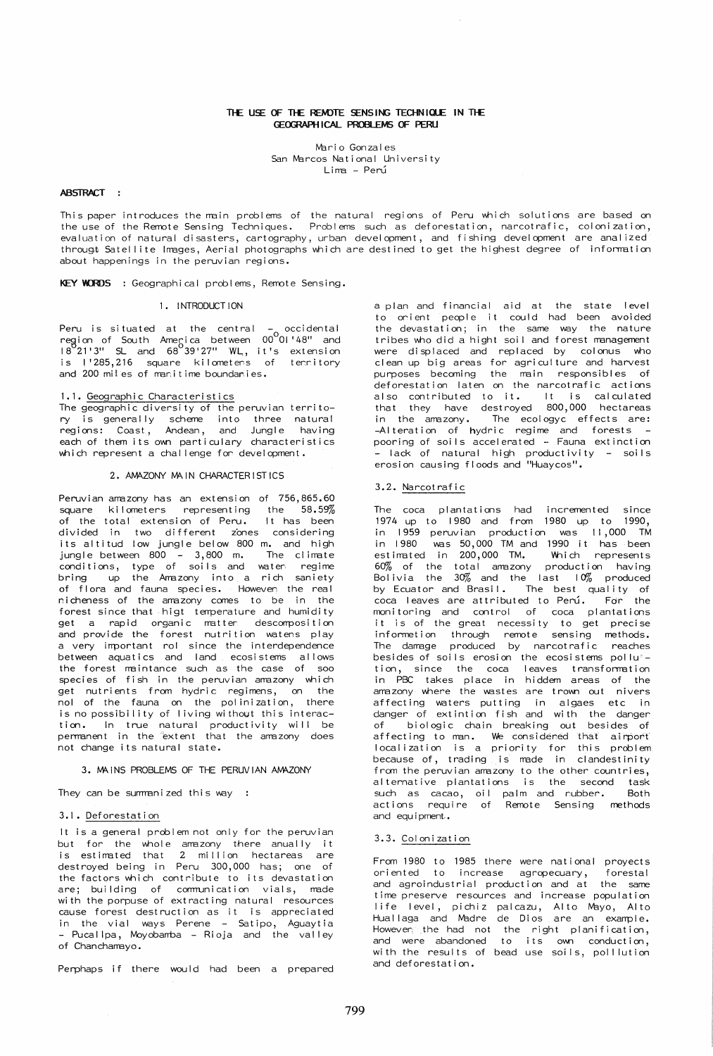# THE USE OF THE REMOTE SENSING TECHNIQUE IN THE GEOGRAPHICAL PROPLEMS OF PERLI

Mario Gonzales San Marcos National University Lima - Perú

### ABSTRACT:

This paper introduces the main problems of the natural regions of Peru which solutions are based on<br>the use of the Remote Sensing Techniques. Problems such as deforestation, narcotrafic, colonization, evaluation of natural disasters, cartography, urban development, and fishing development are analized througt Satellite Images, Aerial photographs which are destined to get the highest degree of information about happenings in the peruvian regions.

KEY WORDS : Geographical problems, Remote Sensing.

# 1. INTRODUCTION

Peru is situated at the central occidental Peru is situated at the central – occidental<br>region of South America between 00<sup>0</sup>01'48" and<br>1821'3" SL and 68<sup>0</sup>39'27" WL, it's extension is l'285,216 square kilometens of tennitory and 200 miles of manitime boundanies.

# 1.1. Geographic Characteristics

The geographic diversity of the peruvian territome sessing metally scheme into three natural<br>regions: Coast, Andean, and Jungle having<br>each of them its own particulary characteristics which represent a challenge for development.

### 2. AMAZONY MAIN CHARACTERISTICS

Peruvian amazony has an extension of 756,865.60 square kilometers representing the 58.59% of the total extension of Peru. It has been divided in two different zones considering<br>its altitud low jungle below 800 m. and high jungle between 800 - 3,800 m. The climate<br>conditions, type of soils and water regime bring up the Amazony into a rich saniety of flora and fauna species. Howeven the real nicheness of the amazony comes to be in the forest since that higt temperature and humidity get a rapid organic matter descomposition<br>and provide the forest nutrition watens play a very important rol since the interdependence between aquatics and land ecosistems allows the forest maintance such as the case of soo species of fish in the peruvian amazony which get nutrients from hydric regimens, on the nol of the fauna on the polinization, there is no possibility of living without this interaction. In true natural productivity will be permanent in the extent that the amazony does not change its natural state.

#### 3. MAINS PROBLEMS OF THE PERUVIAN AMAZONY

They can be summanized this way :

### 3.1. Deforestation

It is a general problem not only for the peruvian but for the whole amazony there anually it<br>is estimated that 2 million hectareas are<br>destroyed being in Peru 300,000 has; one of the factors which contribute to its devastation are; building of communication vials, made<br>with the porpuse of extracting natural resources cause forest destruction as it is appreciated in the vial ways Perene - Satipo, Aguaytia - Pucalipa, Moyobamba - Rioja and the valley of Chanchamayo.

Perphaps if there would had been a prepared

a plan and financial aid at the state level to onient people it could had been avoided the devastation; in the same way the nature tribes who did a hight soil and forest management were displaced and replaced by colonus who clean up big areas for agriculture and harvest purposes becoming the main responsibles of<br>deforestation laten on the narcotrafic actions also contributed to it. It is calculated<br>that they have destroyed 800,000 hectareas<br>in the amazony. The ecologyc effects are: -Alteration of hydric regime and forests -<br>pooring of soils accelerated - Fauna extinction - lack of natural high productivity - soils erosion causing floods and "Huaycos".

# 3.2. Narcotrafic

The coca plantations had incremented<br>1974 up to 1980 and from 1980 up to since 1990. in 1959 peruvian production was 11,000 TM in 1980 was 50,000 TM and 1990 it has been<br>estimated in 200,000 TM. Which represents 60% of the total amezony production having<br>Bolivia the 30% and the last 10% produced by Ecuator and Brasil. The best quality of<br>coca leaves are attributed to Perú. For the monitoring and control of coca plantations it is of the great necessity to get precise information through remote sensing methods.<br>The damage produced by narcotrafic reaches besides of soils erosion the ecosistems pollu'tion, since the coca leaves transformation<br>in PBC takes place in hiddem areas of the amazony where the wastes are trown out nivers affecting waters putting in algaes etc in danger of extintion fish and with the danger biologic chain breaking out besides of of affecting to man. We considered that airport<br>localization is a priority for this problem<br>because of, trading is made in clandestinity from the peruvian amazony to the other countries, alternative plantations is the second task such as cacao, oil palm and rubber. Both<br>actions require of Remote Sensing methods and equipment..

# 3.3. Colonization

From 1980 to 1985 there were national proyects oriented to increase agropecuary, forestal and agroindustrial production and at the same time preserve resources and increase population The preserve resources and increase population<br>life level, pichiz palcazu, Alto Mayo, Alto<br>Huallaga and Madre de Dios are an example.<br>However the had not the right planification,<br>and were abandoned to its own conduction, with the results of bead use soils, polllution and deforestation.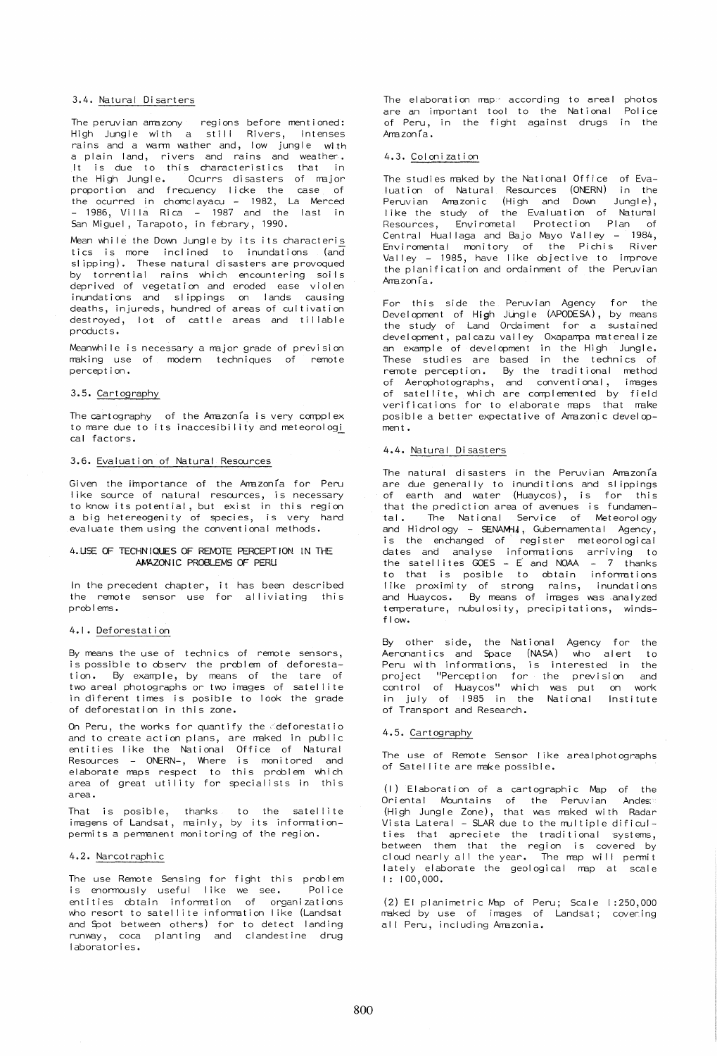## 3.4. Natural Disarters

The peruvian amazony regions before mentioned: High Jungle with a still Rivers, intenses rains and a warm wather and, low jungle with a plain land, rivers and rains and weather. It is due to this characteristics that in the High Jungle. Ocurrs disasters of rmjor proportion and frecuency licke the case of the ocurred in chomclayacu – 1982, La Merced<br>- 1986, Villa Rica – 1987 and the last in San Miguel, Tarapoto, in febrary, 1990.

Mean while the Down Jungle by its its characteris tics is more inclined to inundations (and sl ipping). These natural di sasters are provoqued by torrential rains which encountering soils deprived of vegetation and eroded ease violen inundations and slippings on lands causing<br>deaths, injureds, hundred of areas-of-cultivation destroyed, lot of cattle areas and tillable product s.

Meanwhile is necessary a major grade of prevision rmking use of modem techniques of remote percept ion.

### 3.5. Cartography

The cartography of the Amazonia is very complex to mare due to its inaccesibility and meteorologi cal factors.

# 3.6. Evaluation of Natural Resources

Given the importance of the Amazonia for Peru like source of natural resources, is necessary to know its potential, but exist in this region a big hetereogenity of species, is very hard evaluate them using the conventional methods.

# 4. USE OF TECHNIQUES OF REMOTE PERCEPTION IN THE AMAZONIC PROBLEMS OF PERU

In the precedent chapter, the remote sensor use problems. it has been described for alliviating this

### 4.1. Deforestat ion

By means the use of technics of remote sensors, is possible to observ the problem of deforestation. By example, by means of the tare of two areal photographs or two images of satellite in diferent times is posible to look the grade of deforestation in this zone.

On Peru, the works for quantify the deforestatio and to create action plans, are maked in public entities like the National Office of Natural Resources - ONERN-, Where is monitored and elaborate maps respect to this problem which<br>area of great utility for specialists in this area.

That is posible, thanks to the satellite imagens of Landsat, mainly, by its informationpermits a perrranent monitoring of the region.

# 4.2. Narcotraphic

The use Remote Sensing for fight this problem is enormously useful like we see. Police entities obtain information of organizations who resort to satellite information like (Landsat and Spot between others) for to detect landing runway, coca planting and clandestine drug laboratories.

The elaboration rmp' according to areal photos are an important tool to the National Police of Peru, in the fight against drugs in the  $A<sub>ma</sub>$ zonía.

# 4.3. Colonization

The studies maked by the National Office of Evaluation of Natural Resources (ONERN) in the Peruvian Amazonic (High and Down Jungle),<br>like the study of the Evaluation of Natural Resources, Envirometal Protection Plan of Central Huallaga and Bajo Mayo Valley - 1984, Enviromental monitory of the Pichis River Valley - 1985, have like objective to improve the planification and ordainment of the Peruvian  $A$ mazon $ia$ .

For this side the Peruvian Agency for the Development of High JUngle (APODESA), by means the study of Land Ordaiment for a sustained development, palcazu valley Oxapampa materealize an example of development in the High Jungle. These studies are based in the technics of remote perception. By the traditional method of Aerophotographs, and conventional, irmges of satellite, which are complemented by field verifications for to elaborate maps that make posible a better expectative of Amazonic development.

# 4.4. Natural Disasters

The natural disasters in the Peruvian Amazonia are due generally to inunditions and slippings of earth and water (Huaycos), is for this that the prediction area of avenues is fundamental. The National Service of Meteorology and Hidrology - SENAMH4, Gubernamental Agency, is the enchanged of register meteorological dates and analyse inforrmtions arriving to the satellites  $GOES - E$  and  $NOAA - 7$  thanks to that is posible to obtain informations like proximity of strong rains, inundations and Huaycos. By means of images was analyzed temperature, nubulosity, precipitations, windsf low.

By other side, the National Agency for the Aeronantics and Space (NASA) who alert to Peru with informations, is interested in the project "Perception for the prevision and control of Huaycos" which was put on work in july of 1985 in the National Institute of Transport and Research.

# 4.5. Cartography

The use of Remote Sensor I ike arealphotographs of Satellite are make possible.

 $(1)$  Elaboration of a cartographic Map of the Oriental Mountains of the Peruvian Andes: (High Jungle Zone), that was maked with Radar Vista Lateral - SLAR due to the multiple dificulties that apreciete the traditional systems, between them that the region is covered by cloud nearly all the year. The map will permit lately elaborate the geological map at scale I: 100,000.

 $(2)$  El planimetric Map of Peru; Scale 1:250,000 maked by use of images of Landsat; covering all Peru, including Amazonia.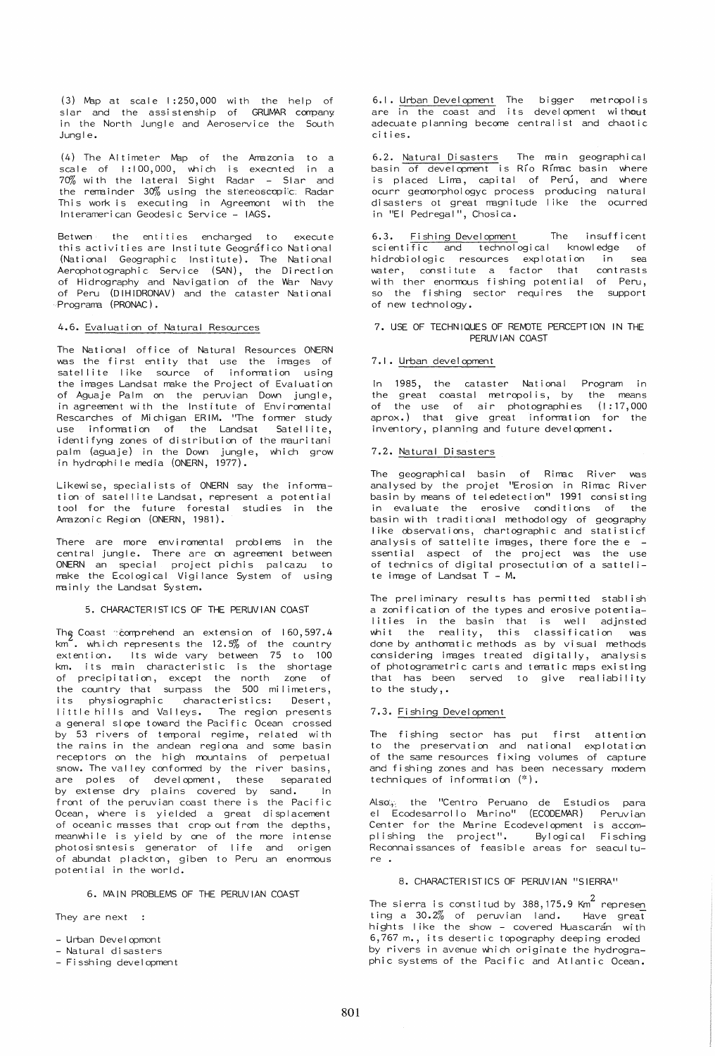(3) Map at scale 1:250,000 with the help of<br>slar and the assistenship of GRUMAR company in the North Jungle and Aeroservice the South  $l$ ungle.

(4) The Altimeter Map of the Amazonia to a<br>scale of 1:100,000, which is execnted in a<br>70% with the lateral Sight Radar - Slar and the remainder 30% using the stereoscopic: Radar This work is executing in Agreemont with the Interamerican Geodesic Service - IAGS.

Betwen: the entities encharged to execute this activities are Institute Geografico National (National Geographic Institute). The National Aerophotographic Service (SAN), the Direction of Hidrography and Navigation of the War Navy of Peru (DIHIDRONAV) and the cataster National Programa (PRONAC).

### 4.6. Evaluation of Natural Resources

The National office of Natural Resources ONERN was the first entity that use the images of<br>satellite like source of information using the images Landsat make the Project of Evaluation of Aguaje Palm on the peruvian Down jungle, in agreement with the Institute of Environmental Rescarches of Michigan ERIM. "The former study use information of the Landsat Satellite, identifyng zones of distribution of the mauritani palm (aguaje) in the Down jungle, which grow<br>in hydrophile media (ONERN, 1977).

Likewise, specialists of ONERN say the information of satellite Landsat, represent a potential tion for the future forestal studies in the<br>Amazonic Region (ONERN, 1981).

There are more enviromental problems in the<br>central jungle. There are on agreement between ONERN an special project pichis palcazu to<br>make the Ecological Vigilance System of using mainly the Landsat System.

# 5. CHARACTERISTICS OF THE PERUVIAN COAST

The Coast comprehend an extension of 160,597.4  $km<sup>2</sup>$ . which represents the 12.5% of the country extention. Its wide vary between 75 to 100 km. its main characteristic is the shortage of precipitation, except the north zone of<br>the country that surpass the 500 milimeters, its physiographic characteristics: Desert, little hills and Valleys. The region presents a general slope toward the Pacific Ocean crossed by 53 rivers of temporal regime, related with the rains in the andean regiona and some basin receptors on the high mountains of perpetual show. The valley conformed by the river basins,<br>are poles of development, these separated<br>by extense dry plains covered by sand. In front of the peruvian coast there is the Pacific Ocean, where is yielded a great displacement<br>of oceanic masses that crop out from the depths, meanwhile is yield by one of the more intense photosisntesis generator of life and origen of abundat plackton, giben to Peru an enormous potential in the world.

#### 6. MAIN PROBLEMS OF THE PERUVIAN COAST

They are next :

- Urban Developmont
- Natural disasters
- Fisshing development

6.1. Urban Development The bigger metropolis<br>are in the coast and its development without adecuate planning become centralist and chaotic cities.

6.2. Natural Disasters The main geographical<br>basin of development is Río Rímac basin where is placed Lima, capital of Perú, and where ocurr geomorphologyc process producing natural<br>disasters ot great magnitude like the ocurred in "El Pedregal", Chosica.

6.3. Fishing Development The insufficent scientific and technological knowledge of<br>hidrobiologic resources explotation in sea water, constitute a factor that contrasts<br>with ther enormous fishing potential of Peru, so the fishing sector requires the support of new technology.

# 7. USE OF TECHNIQUES OF REMOTE PERCEPTION IN THE PERUVIAN COAST

# 7.1. Urban development

In 1985, the cataster National Program in the great coastal metropolis, by the means of the use of air photographies (1:17,000<br>aprox.) that give great information for the inventory, planning and future development.

# 7.2. Natural Disasters

The geographical basin of Rimac River was<br>analysed-by the projet "Erosion in Rimac River basin by means of teledetection" 1991 consisting in evaluate the erosive conditions of the basin with traditional methodology of geography like observations, chartographic and statisticf analysis of sattelite images, there fore the e ssential aspect of the project was the use of technics of digital prosectution of a sattelite image of Landsat  $T - M$ .

The preliminary results has permitted stablish a zonification of the types and erosive potentialities in the basin that is well adjnsted whit the reality, this classification was done by anthomatic methods as by visual methods considering images treated digitally, analysis of photogrametric carts and tematic maps existing that has been served to give realiability to the study,.

# 7.3. Fishing Development

The fishing sector has put first attention<br>to the preservation and national explotation of the same resources fixing volumes of capture and fishing zones and has been necessary modern techniques of information  $(*)$ .

the "Centro Peruano de Estudios para Also. el Ecodesarrollo Marino" (ECODEMAR) Peruvian Center for the Marine Ecodevelopment is accom-<br>plishing the project". Bylogical Fisching Reconnaissances of feasible areas for seaculture.

# 8. CHARACTERISTICS OF PERUVIAN "SIERRA"

The sierra is constitud by 388,175.9 Km<sup>2</sup> represen ting a 30.2% of peruvian land. Have great hights like the show - covered Huascarán with 6,767 m., its desertic topography deeping eroded by rivers in avenue which originate the hydrographic systems of the Pacific and Atlantic Ocean.